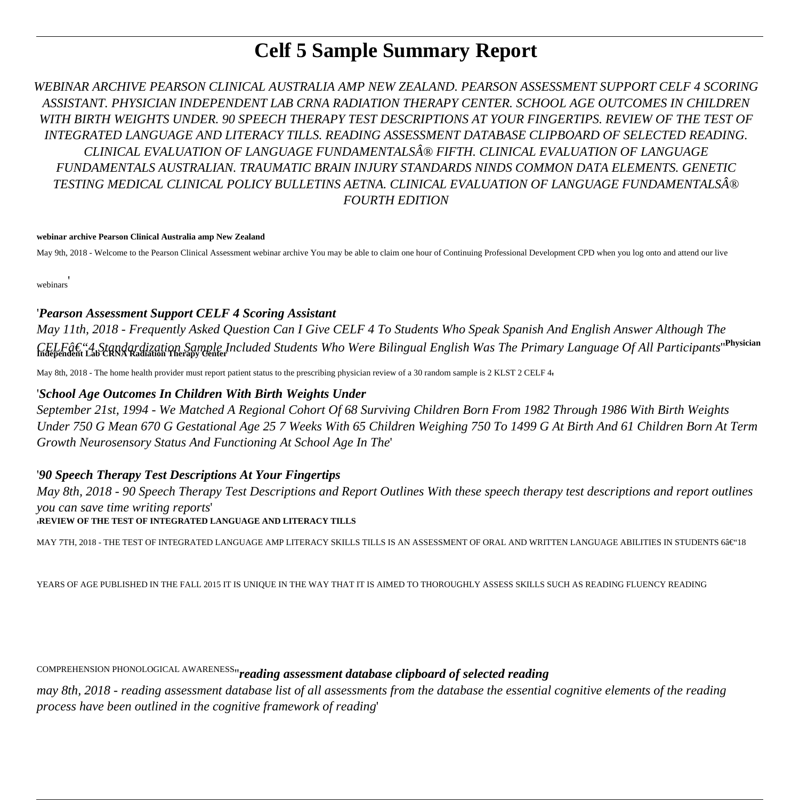# **Celf 5 Sample Summary Report**

*WEBINAR ARCHIVE PEARSON CLINICAL AUSTRALIA AMP NEW ZEALAND. PEARSON ASSESSMENT SUPPORT CELF 4 SCORING ASSISTANT. PHYSICIAN INDEPENDENT LAB CRNA RADIATION THERAPY CENTER. SCHOOL AGE OUTCOMES IN CHILDREN WITH BIRTH WEIGHTS UNDER. 90 SPEECH THERAPY TEST DESCRIPTIONS AT YOUR FINGERTIPS. REVIEW OF THE TEST OF INTEGRATED LANGUAGE AND LITERACY TILLS. READING ASSESSMENT DATABASE CLIPBOARD OF SELECTED READING. CLINICAL EVALUATION OF LANGUAGE FUNDAMENTALS® FIFTH. CLINICAL EVALUATION OF LANGUAGE FUNDAMENTALS AUSTRALIAN. TRAUMATIC BRAIN INJURY STANDARDS NINDS COMMON DATA ELEMENTS. GENETIC TESTING MEDICAL CLINICAL POLICY BULLETINS AETNA. CLINICAL EVALUATION OF LANGUAGE FUNDAMENTALS® FOURTH EDITION*

#### **webinar archive Pearson Clinical Australia amp New Zealand**

May 9th, 2018 - Welcome to the Pearson Clinical Assessment webinar archive You may be able to claim one hour of Continuing Professional Development CPD when you log onto and attend our live

webinars'

### '*Pearson Assessment Support CELF 4 Scoring Assistant*

*May 11th, 2018 - Frequently Asked Question Can I Give CELF 4 To Students Who Speak Spanish And English Answer Although The CELF–4 Standardization Sample Included Students Who Were Bilingual English Was The Primary Language Of All Participants*''**Physician Independent Lab CRNA Radiation Therapy Center**

May 8th, 2018 - The home health provider must report patient status to the prescribing physician review of a 30 random sample is 2 KLST 2 CELF 4,

### '*School Age Outcomes In Children With Birth Weights Under*

*September 21st, 1994 - We Matched A Regional Cohort Of 68 Surviving Children Born From 1982 Through 1986 With Birth Weights Under 750 G Mean 670 G Gestational Age 25 7 Weeks With 65 Children Weighing 750 To 1499 G At Birth And 61 Children Born At Term Growth Neurosensory Status And Functioning At School Age In The*'

### '*90 Speech Therapy Test Descriptions At Your Fingertips*

*May 8th, 2018 - 90 Speech Therapy Test Descriptions and Report Outlines With these speech therapy test descriptions and report outlines you can save time writing reports*'

### '**REVIEW OF THE TEST OF INTEGRATED LANGUAGE AND LITERACY TILLS**

MAY 7TH, 2018 - THE TEST OF INTEGRATED LANGUAGE AMP LITERACY SKILLS TILLS IS AN ASSESSMENT OF ORAL AND WRITTEN LANGUAGE ABILITIES IN STUDENTS 6–18

YEARS OF AGE PUBLISHED IN THE FALL 2015 IT IS UNIQUE IN THE WAY THAT IT IS AIMED TO THOROUGHLY ASSESS SKILLS SUCH AS READING FLUENCY READING

COMPREHENSION PHONOLOGICAL AWARENESS''*reading assessment database clipboard of selected reading*

*may 8th, 2018 - reading assessment database list of all assessments from the database the essential cognitive elements of the reading process have been outlined in the cognitive framework of reading*'